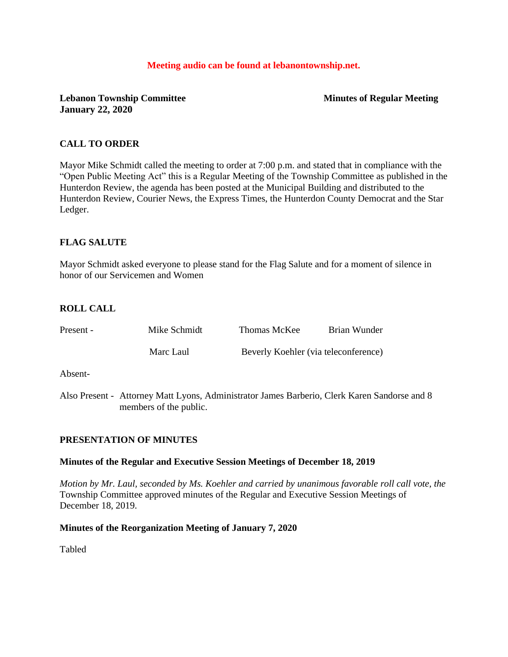#### **Meeting audio can be found at lebanontownship.net.**

**Lebanon Township Committee Minutes of Regular Meeting January 22, 2020**

### **CALL TO ORDER**

Mayor Mike Schmidt called the meeting to order at 7:00 p.m. and stated that in compliance with the "Open Public Meeting Act" this is a Regular Meeting of the Township Committee as published in the Hunterdon Review, the agenda has been posted at the Municipal Building and distributed to the Hunterdon Review, Courier News, the Express Times, the Hunterdon County Democrat and the Star Ledger.

### **FLAG SALUTE**

Mayor Schmidt asked everyone to please stand for the Flag Salute and for a moment of silence in honor of our Servicemen and Women

### **ROLL CALL**

| Present - | Mike Schmidt                                                                                                                                                                                                                                                                                                                     | Thomas McKee                                                                                                                                                                                                                                                                                                                       | Brian Wunder |  |
|-----------|----------------------------------------------------------------------------------------------------------------------------------------------------------------------------------------------------------------------------------------------------------------------------------------------------------------------------------|------------------------------------------------------------------------------------------------------------------------------------------------------------------------------------------------------------------------------------------------------------------------------------------------------------------------------------|--------------|--|
|           | Marc Laul                                                                                                                                                                                                                                                                                                                        | Beverly Koehler (via teleconference)                                                                                                                                                                                                                                                                                               |              |  |
| Absent-   |                                                                                                                                                                                                                                                                                                                                  |                                                                                                                                                                                                                                                                                                                                    |              |  |
|           | $\mathbf{A}$ <b>1</b> $\mathbf{B}$ $\mathbf{A}$ $\mathbf{A}$ $\mathbf{A}$ $\mathbf{A}$ $\mathbf{A}$ $\mathbf{A}$ $\mathbf{A}$ $\mathbf{A}$ $\mathbf{A}$ $\mathbf{A}$ $\mathbf{A}$ $\mathbf{A}$ $\mathbf{A}$ $\mathbf{A}$ $\mathbf{A}$ $\mathbf{A}$ $\mathbf{A}$ $\mathbf{A}$ $\mathbf{A}$ $\mathbf{A}$ $\mathbf{A}$ $\mathbf{A}$ | $\mathbf{1}$ $\mathbf{1}$ $\mathbf{1}$ $\mathbf{1}$ $\mathbf{1}$ $\mathbf{1}$ $\mathbf{1}$ $\mathbf{1}$ $\mathbf{1}$ $\mathbf{1}$ $\mathbf{1}$ $\mathbf{1}$ $\mathbf{1}$ $\mathbf{1}$ $\mathbf{1}$ $\mathbf{1}$ $\mathbf{1}$ $\mathbf{1}$ $\mathbf{1}$ $\mathbf{1}$ $\mathbf{1}$ $\mathbf{1}$ $\mathbf{1}$ $\mathbf{1}$ $\mathbf{$ |              |  |

Also Present - Attorney Matt Lyons, Administrator James Barberio, Clerk Karen Sandorse and 8 members of the public.

#### **PRESENTATION OF MINUTES**

#### **Minutes of the Regular and Executive Session Meetings of December 18, 2019**

*Motion by Mr. Laul, seconded by Ms. Koehler and carried by unanimous favorable roll call vote, the* Township Committee approved minutes of the Regular and Executive Session Meetings of December 18, 2019.

#### **Minutes of the Reorganization Meeting of January 7, 2020**

Tabled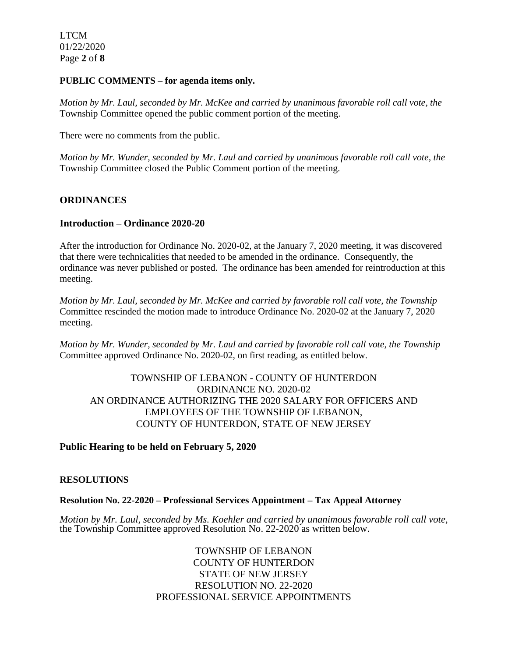LTCM 01/22/2020 Page **2** of **8**

### **PUBLIC COMMENTS – for agenda items only.**

*Motion by Mr. Laul, seconded by Mr. McKee and carried by unanimous favorable roll call vote, the* Township Committee opened the public comment portion of the meeting.

There were no comments from the public.

*Motion by Mr. Wunder, seconded by Mr. Laul and carried by unanimous favorable roll call vote, the* Township Committee closed the Public Comment portion of the meeting.

## **ORDINANCES**

## **Introduction – Ordinance 2020-20**

After the introduction for Ordinance No. 2020-02, at the January 7, 2020 meeting, it was discovered that there were technicalities that needed to be amended in the ordinance. Consequently, the ordinance was never published or posted. The ordinance has been amended for reintroduction at this meeting.

*Motion by Mr. Laul, seconded by Mr. McKee and carried by favorable roll call vote, the Township* Committee rescinded the motion made to introduce Ordinance No. 2020-02 at the January 7, 2020 meeting.

*Motion by Mr. Wunder, seconded by Mr. Laul and carried by favorable roll call vote, the Township* Committee approved Ordinance No. 2020-02, on first reading, as entitled below.

# TOWNSHIP OF LEBANON - COUNTY OF HUNTERDON ORDINANCE NO. 2020-02 AN ORDINANCE AUTHORIZING THE 2020 SALARY FOR OFFICERS AND EMPLOYEES OF THE TOWNSHIP OF LEBANON, COUNTY OF HUNTERDON, STATE OF NEW JERSEY

## **Public Hearing to be held on February 5, 2020**

#### **RESOLUTIONS**

#### **Resolution No. 22-2020 – Professional Services Appointment – Tax Appeal Attorney**

*Motion by Mr. Laul, seconded by Ms. Koehler and carried by unanimous favorable roll call vote,* the Township Committee approved Resolution No. 22-2020 as written below.

> TOWNSHIP OF LEBANON COUNTY OF HUNTERDON STATE OF NEW JERSEY RESOLUTION NO. 22-2020 PROFESSIONAL SERVICE APPOINTMENTS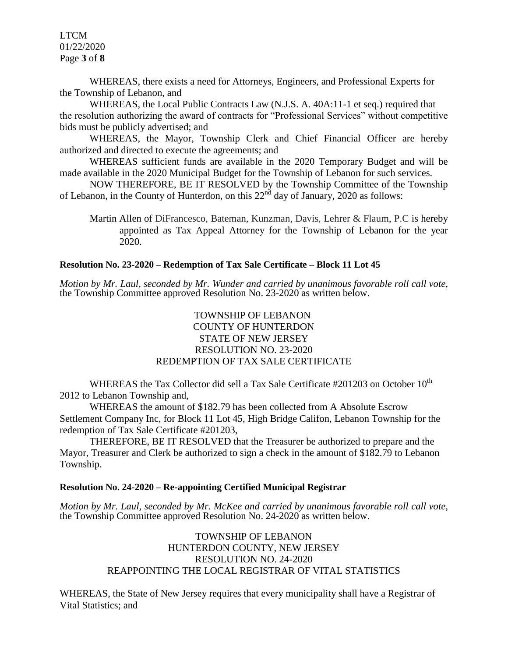LTCM 01/22/2020 Page **3** of **8**

WHEREAS, there exists a need for Attorneys, Engineers, and Professional Experts for the Township of Lebanon, and

WHEREAS, the Local Public Contracts Law (N.J.S. A. 40A:11-1 et seq.) required that the resolution authorizing the award of contracts for "Professional Services" without competitive bids must be publicly advertised; and

WHEREAS, the Mayor, Township Clerk and Chief Financial Officer are hereby authorized and directed to execute the agreements; and

WHEREAS sufficient funds are available in the 2020 Temporary Budget and will be made available in the 2020 Municipal Budget for the Township of Lebanon for such services.

NOW THEREFORE, BE IT RESOLVED by the Township Committee of the Township of Lebanon, in the County of Hunterdon, on this  $22<sup>nd</sup>$  day of January, 2020 as follows:

Martin Allen of DiFrancesco, Bateman, Kunzman, Davis, Lehrer & Flaum, P.C is hereby appointed as Tax Appeal Attorney for the Township of Lebanon for the year 2020.

### **Resolution No. 23-2020 – Redemption of Tax Sale Certificate – Block 11 Lot 45**

*Motion by Mr. Laul, seconded by Mr. Wunder and carried by unanimous favorable roll call vote,* the Township Committee approved Resolution No. 23-2020 as written below.

# TOWNSHIP OF LEBANON COUNTY OF HUNTERDON STATE OF NEW JERSEY RESOLUTION NO. 23-2020 REDEMPTION OF TAX SALE CERTIFICATE

WHEREAS the Tax Collector did sell a Tax Sale Certificate  $#201203$  on October  $10^{th}$ 2012 to Lebanon Township and,

WHEREAS the amount of \$182.79 has been collected from A Absolute Escrow Settlement Company Inc, for Block 11 Lot 45, High Bridge Califon, Lebanon Township for the redemption of Tax Sale Certificate #201203,

THEREFORE, BE IT RESOLVED that the Treasurer be authorized to prepare and the Mayor, Treasurer and Clerk be authorized to sign a check in the amount of \$182.79 to Lebanon Township.

#### **Resolution No. 24-2020 – Re-appointing Certified Municipal Registrar**

*Motion by Mr. Laul, seconded by Mr. McKee and carried by unanimous favorable roll call vote,* the Township Committee approved Resolution No. 24-2020 as written below.

> TOWNSHIP OF LEBANON HUNTERDON COUNTY, NEW JERSEY RESOLUTION NO. 24-2020 REAPPOINTING THE LOCAL REGISTRAR OF VITAL STATISTICS

WHEREAS, the State of New Jersey requires that every municipality shall have a Registrar of Vital Statistics; and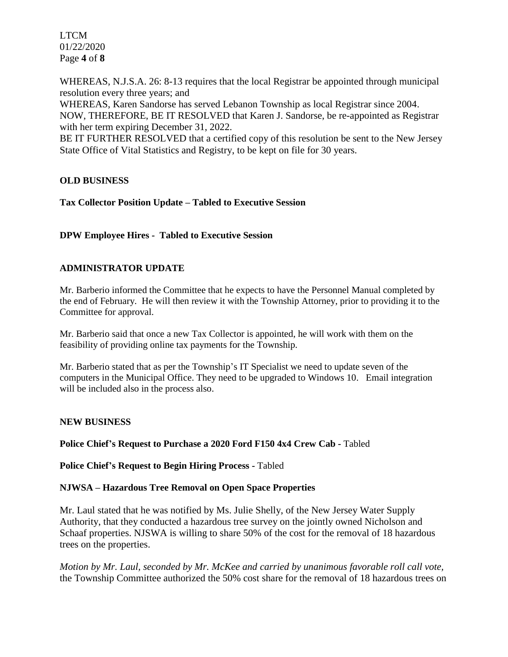LTCM 01/22/2020 Page **4** of **8**

WHEREAS, N.J.S.A. 26: 8-13 requires that the local Registrar be appointed through municipal resolution every three years; and

WHEREAS, Karen Sandorse has served Lebanon Township as local Registrar since 2004. NOW, THEREFORE, BE IT RESOLVED that Karen J. Sandorse, be re-appointed as Registrar with her term expiring December 31, 2022.

BE IT FURTHER RESOLVED that a certified copy of this resolution be sent to the New Jersey State Office of Vital Statistics and Registry, to be kept on file for 30 years.

# **OLD BUSINESS**

**Tax Collector Position Update – Tabled to Executive Session**

**DPW Employee Hires - Tabled to Executive Session**

# **ADMINISTRATOR UPDATE**

Mr. Barberio informed the Committee that he expects to have the Personnel Manual completed by the end of February. He will then review it with the Township Attorney, prior to providing it to the Committee for approval.

Mr. Barberio said that once a new Tax Collector is appointed, he will work with them on the feasibility of providing online tax payments for the Township.

Mr. Barberio stated that as per the Township's IT Specialist we need to update seven of the computers in the Municipal Office. They need to be upgraded to Windows 10. Email integration will be included also in the process also.

## **NEW BUSINESS**

**Police Chief's Request to Purchase a 2020 Ford F150 4x4 Crew Cab -** Tabled

**Police Chief's Request to Begin Hiring Process -** Tabled

## **NJWSA – Hazardous Tree Removal on Open Space Properties**

Mr. Laul stated that he was notified by Ms. Julie Shelly, of the New Jersey Water Supply Authority, that they conducted a hazardous tree survey on the jointly owned Nicholson and Schaaf properties. NJSWA is willing to share 50% of the cost for the removal of 18 hazardous trees on the properties.

*Motion by Mr. Laul, seconded by Mr. McKee and carried by unanimous favorable roll call vote,* the Township Committee authorized the 50% cost share for the removal of 18 hazardous trees on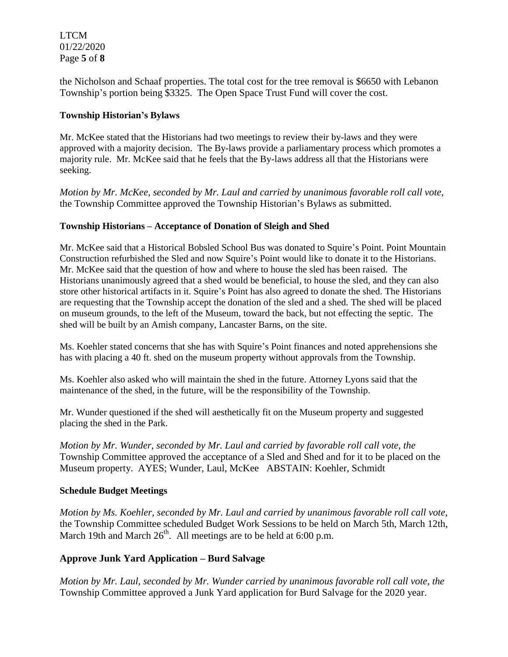LTCM 01/22/2020 Page **5** of **8**

the Nicholson and Schaaf properties. The total cost for the tree removal is \$6650 with Lebanon Township's portion being \$3325. The Open Space Trust Fund will cover the cost.

## **Township Historian's Bylaws**

Mr. McKee stated that the Historians had two meetings to review their by-laws and they were approved with a majority decision. The By-laws provide a parliamentary process which promotes a majority rule. Mr. McKee said that he feels that the By-laws address all that the Historians were seeking.

*Motion by Mr. McKee, seconded by Mr. Laul and carried by unanimous favorable roll call vote,* the Township Committee approved the Township Historian's Bylaws as submitted.

# **Township Historians – Acceptance of Donation of Sleigh and Shed**

Mr. McKee said that a Historical Bobsled School Bus was donated to Squire's Point. Point Mountain Construction refurbished the Sled and now Squire's Point would like to donate it to the Historians. Mr. McKee said that the question of how and where to house the sled has been raised. The Historians unanimously agreed that a shed would be beneficial, to house the sled, and they can also store other historical artifacts in it. Squire's Point has also agreed to donate the shed. The Historians are requesting that the Township accept the donation of the sled and a shed. The shed will be placed on museum grounds, to the left of the Museum, toward the back, but not effecting the septic. The shed will be built by an Amish company, Lancaster Barns, on the site.

Ms. Koehler stated concerns that she has with Squire's Point finances and noted apprehensions she has with placing a 40 ft. shed on the museum property without approvals from the Township.

Ms. Koehler also asked who will maintain the shed in the future. Attorney Lyons said that the maintenance of the shed, in the future, will be the responsibility of the Township.

Mr. Wunder questioned if the shed will aesthetically fit on the Museum property and suggested placing the shed in the Park.

*Motion by Mr. Wunder, seconded by Mr. Laul and carried by favorable roll call vote, the* Township Committee approved the acceptance of a Sled and Shed and for it to be placed on the Museum property. AYES; Wunder, Laul, McKee ABSTAIN: Koehler, Schmidt

## **Schedule Budget Meetings**

*Motion by Ms. Koehler, seconded by Mr. Laul and carried by unanimous favorable roll call vote,* the Township Committee scheduled Budget Work Sessions to be held on March 5th, March 12th, March 19th and March  $26<sup>th</sup>$ . All meetings are to be held at 6:00 p.m.

# **Approve Junk Yard Application – Burd Salvage**

*Motion by Mr. Laul, seconded by Mr. Wunder carried by unanimous favorable roll call vote, the* Township Committee approved a Junk Yard application for Burd Salvage for the 2020 year.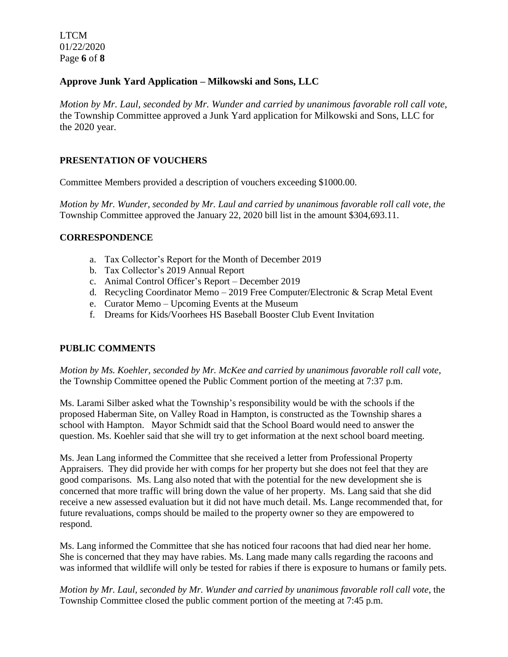LTCM 01/22/2020 Page **6** of **8**

# **Approve Junk Yard Application – Milkowski and Sons, LLC**

*Motion by Mr. Laul, seconded by Mr. Wunder and carried by unanimous favorable roll call vote,* the Township Committee approved a Junk Yard application for Milkowski and Sons, LLC for the 2020 year.

## **PRESENTATION OF VOUCHERS**

Committee Members provided a description of vouchers exceeding \$1000.00.

*Motion by Mr. Wunder, seconded by Mr. Laul and carried by unanimous favorable roll call vote, the* Township Committee approved the January 22, 2020 bill list in the amount \$304,693.11.

## **CORRESPONDENCE**

- a. Tax Collector's Report for the Month of December 2019
- b. Tax Collector's 2019 Annual Report
- c. Animal Control Officer's Report December 2019
- d. Recycling Coordinator Memo 2019 Free Computer/Electronic & Scrap Metal Event
- e. Curator Memo Upcoming Events at the Museum
- f. Dreams for Kids/Voorhees HS Baseball Booster Club Event Invitation

## **PUBLIC COMMENTS**

*Motion by Ms. Koehler, seconded by Mr. McKee and carried by unanimous favorable roll call vote,* the Township Committee opened the Public Comment portion of the meeting at 7:37 p.m.

Ms. Larami Silber asked what the Township's responsibility would be with the schools if the proposed Haberman Site, on Valley Road in Hampton, is constructed as the Township shares a school with Hampton. Mayor Schmidt said that the School Board would need to answer the question. Ms. Koehler said that she will try to get information at the next school board meeting.

Ms. Jean Lang informed the Committee that she received a letter from Professional Property Appraisers. They did provide her with comps for her property but she does not feel that they are good comparisons. Ms. Lang also noted that with the potential for the new development she is concerned that more traffic will bring down the value of her property. Ms. Lang said that she did receive a new assessed evaluation but it did not have much detail. Ms. Lange recommended that, for future revaluations, comps should be mailed to the property owner so they are empowered to respond.

Ms. Lang informed the Committee that she has noticed four racoons that had died near her home. She is concerned that they may have rabies. Ms. Lang made many calls regarding the racoons and was informed that wildlife will only be tested for rabies if there is exposure to humans or family pets.

*Motion by Mr. Laul, seconded by Mr. Wunder and carried by unanimous favorable roll call vote*, the Township Committee closed the public comment portion of the meeting at 7:45 p.m.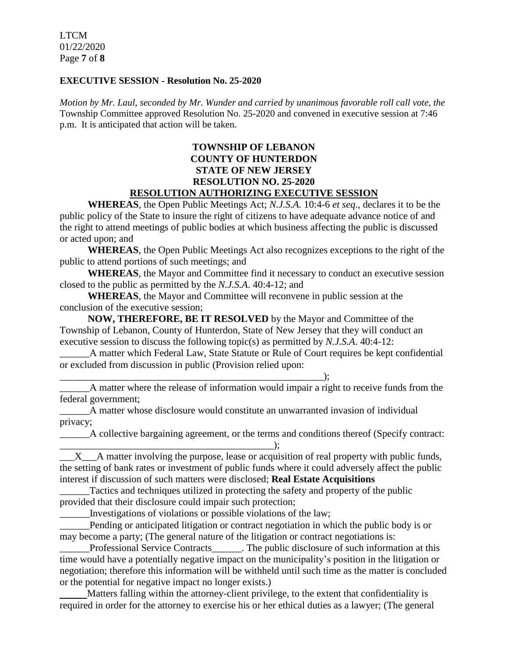LTCM 01/22/2020 Page **7** of **8**

### **EXECUTIVE SESSION - Resolution No. 25-2020**

*Motion by Mr. Laul, seconded by Mr. Wunder and carried by unanimous favorable roll call vote, the* Township Committee approved Resolution No. 25-2020 and convened in executive session at 7:46 p.m. It is anticipated that action will be taken.

## **TOWNSHIP OF LEBANON COUNTY OF HUNTERDON STATE OF NEW JERSEY RESOLUTION NO. 25-2020 RESOLUTION AUTHORIZING EXECUTIVE SESSION**

**WHEREAS**, the Open Public Meetings Act; *N.J.S.A.* 10:4-6 *et seq*., declares it to be the public policy of the State to insure the right of citizens to have adequate advance notice of and the right to attend meetings of public bodies at which business affecting the public is discussed or acted upon; and

**WHEREAS**, the Open Public Meetings Act also recognizes exceptions to the right of the public to attend portions of such meetings; and

**WHEREAS**, the Mayor and Committee find it necessary to conduct an executive session closed to the public as permitted by the *N.J.S.A*. 40:4-12; and

**WHEREAS**, the Mayor and Committee will reconvene in public session at the conclusion of the executive session;

**NOW, THEREFORE, BE IT RESOLVED** by the Mayor and Committee of the Township of Lebanon, County of Hunterdon, State of New Jersey that they will conduct an executive session to discuss the following topic(s) as permitted by *N.J.S.A*. 40:4-12:

\_\_\_\_\_\_A matter which Federal Law, State Statute or Rule of Court requires be kept confidential or excluded from discussion in public (Provision relied upon:

 $\qquad \qquad ; \qquad$ A matter where the release of information would impair a right to receive funds from the federal government;

\_\_\_\_\_\_A matter whose disclosure would constitute an unwarranted invasion of individual privacy;

 $\qquad \qquad$  ):

\_\_\_\_\_\_A collective bargaining agreement, or the terms and conditions thereof (Specify contract:

 $X$   $\Delta$  matter involving the purpose, lease or acquisition of real property with public funds, the setting of bank rates or investment of public funds where it could adversely affect the public interest if discussion of such matters were disclosed; **Real Estate Acquisitions**

Tactics and techniques utilized in protecting the safety and property of the public provided that their disclosure could impair such protection;

\_\_\_\_\_\_Investigations of violations or possible violations of the law;

Pending or anticipated litigation or contract negotiation in which the public body is or may become a party; (The general nature of the litigation or contract negotiations is:

Professional Service Contracts The public disclosure of such information at this time would have a potentially negative impact on the municipality's position in the litigation or negotiation; therefore this information will be withheld until such time as the matter is concluded or the potential for negative impact no longer exists.)

 Matters falling within the attorney-client privilege, to the extent that confidentiality is required in order for the attorney to exercise his or her ethical duties as a lawyer; (The general